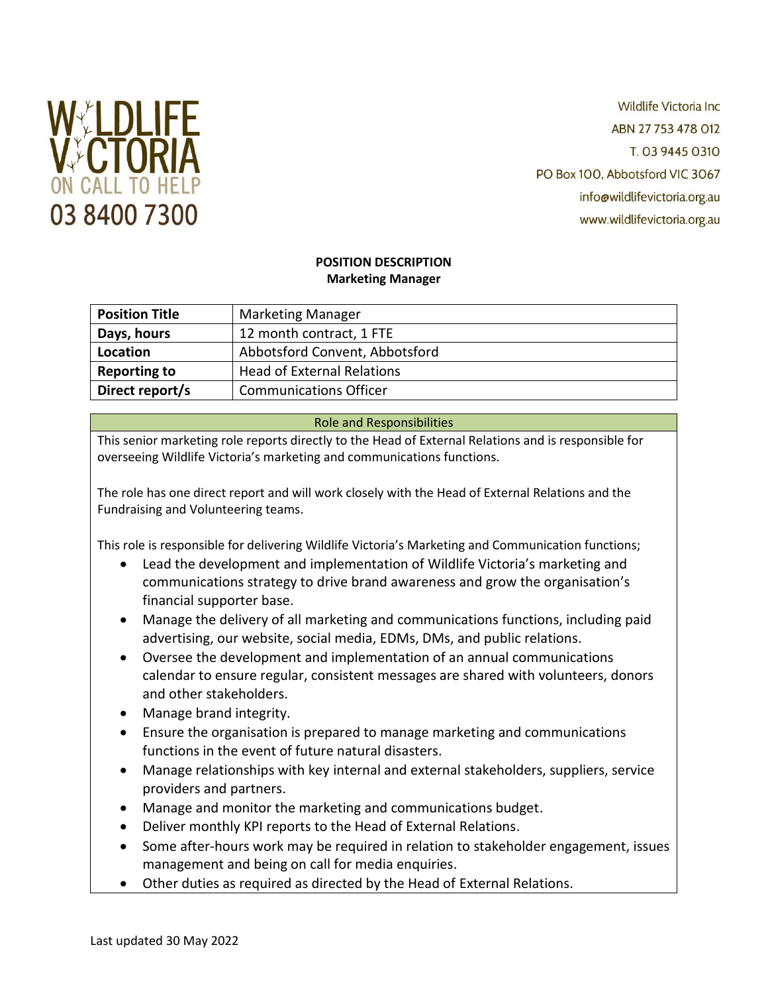

**Wildlife Victoria Inc.** ABN 27 753 478 012 T. 03 9445 0310 PO Box 100, Abbotsford VIC 3067 info@wildlifevictoria.org.au www.wildlifevictoria.org.au

# **POSITION DESCRIPTION Marketing Manager**

| <b>Position Title</b> | <b>Marketing Manager</b>          |
|-----------------------|-----------------------------------|
| Days, hours           | 12 month contract, 1 FTE          |
| Location              | Abbotsford Convent, Abbotsford    |
| <b>Reporting to</b>   | <b>Head of External Relations</b> |
| Direct report/s       | <b>Communications Officer</b>     |

# Role and Responsibilities

This senior marketing role reports directly to the Head of External Relations and is responsible for overseeing Wildlife Victoria's marketing and communications functions.

The role has one direct report and will work closely with the Head of External Relations and the Fundraising and Volunteering teams.

This role is responsible for delivering Wildlife Victoria's Marketing and Communication functions;

- Lead the development and implementation of Wildlife Victoria's marketing and communications strategy to drive brand awareness and grow the organisation's financial supporter base.
- Manage the delivery of all marketing and communications functions, including paid advertising, our website, social media, EDMs, DMs, and public relations.
- Oversee the development and implementation of an annual communications calendar to ensure regular, consistent messages are shared with volunteers, donors and other stakeholders.
- Manage brand integrity.
- Ensure the organisation is prepared to manage marketing and communications functions in the event of future natural disasters.
- Manage relationships with key internal and external stakeholders, suppliers, service providers and partners.
- Manage and monitor the marketing and communications budget.
- Deliver monthly KPI reports to the Head of External Relations.
- Some after-hours work may be required in relation to stakeholder engagement, issues management and being on call for media enquiries.
- Other duties as required as directed by the Head of External Relations.